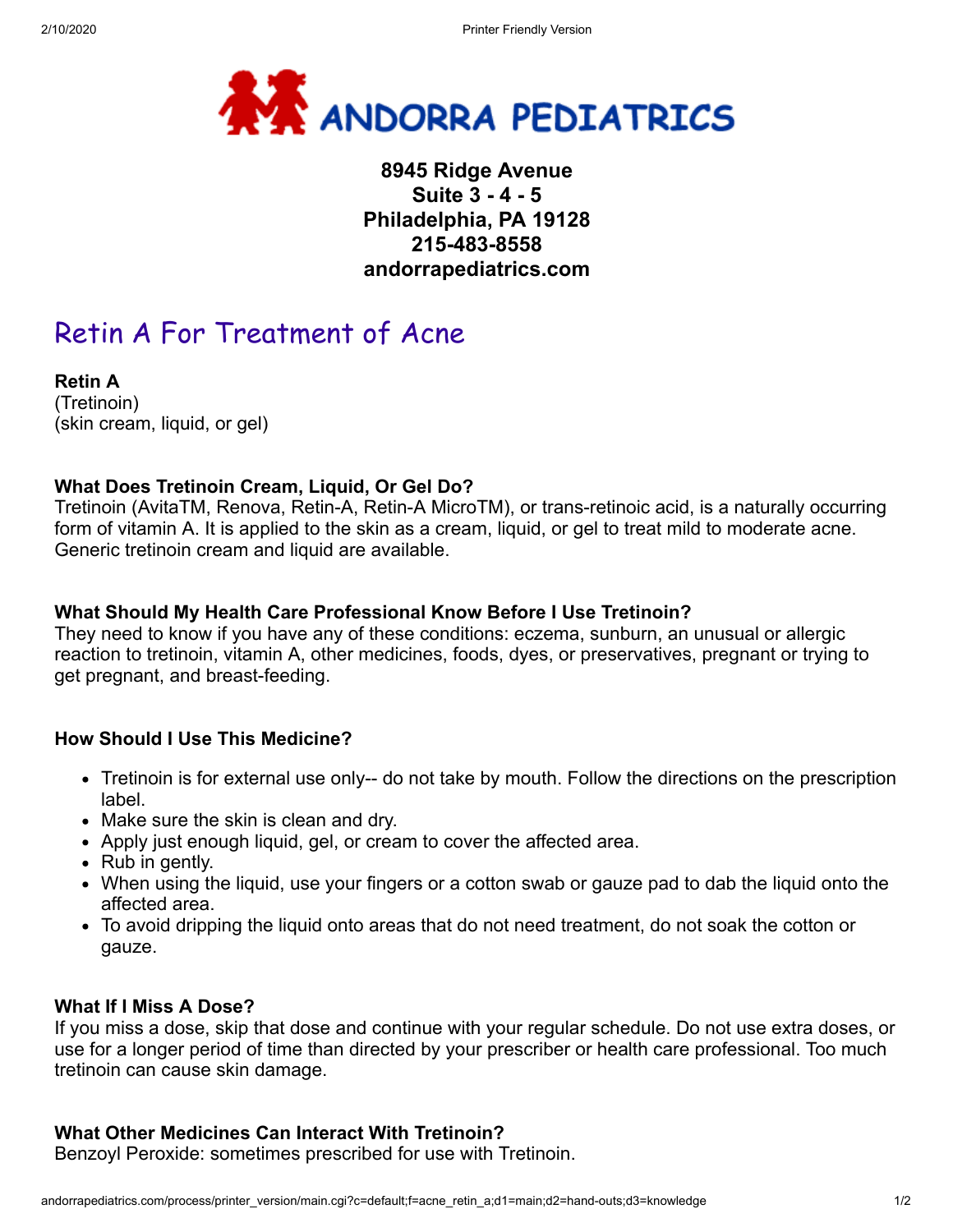

# **8945 Ridge Avenue Suite 3 - 4 - 5 Philadelphia, PA 19128 215-483-8558 andorrapediatrics.com**

# Retin A For Treatment of Acne

**Retin A** (Tretinoin) (skin cream, liquid, or gel)

# **What Does Tretinoin Cream, Liquid, Or Gel Do?**

Tretinoin (AvitaTM, Renova, Retin-A, Retin-A MicroTM), or trans-retinoic acid, is a naturally occurring form of vitamin A. It is applied to the skin as a cream, liquid, or gel to treat mild to moderate acne. Generic tretinoin cream and liquid are available.

### **What Should My Health Care Professional Know Before I Use Tretinoin?**

They need to know if you have any of these conditions: eczema, sunburn, an unusual or allergic reaction to tretinoin, vitamin A, other medicines, foods, dyes, or preservatives, pregnant or trying to get pregnant, and breast-feeding.

# **How Should I Use This Medicine?**

- Tretinoin is for external use only-- do not take by mouth. Follow the directions on the prescription label.
- Make sure the skin is clean and dry.
- Apply just enough liquid, gel, or cream to cover the affected area.
- Rub in gently.
- When using the liquid, use your fingers or a cotton swab or gauze pad to dab the liquid onto the affected area.
- To avoid dripping the liquid onto areas that do not need treatment, do not soak the cotton or gauze.

#### **What If I Miss A Dose?**

If you miss a dose, skip that dose and continue with your regular schedule. Do not use extra doses, or use for a longer period of time than directed by your prescriber or health care professional. Too much tretinoin can cause skin damage.

# **What Other Medicines Can Interact With Tretinoin?**

Benzoyl Peroxide: sometimes prescribed for use with Tretinoin.